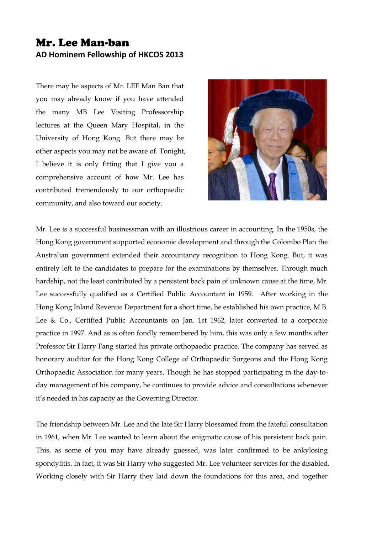## Mr. Lee Man-ban **AD Hominem Fellowship of HKCOS 2013**

There may be aspects of Mr. LEE Man Ban that you may already know if you have attended the many MB Lee Visiting Professorship lectures at the Queen Mary Hospital, in the University of Hong Kong. But there may be other aspects you may not be aware of. Tonight, I believe it is only fitting that I give you a comprehensive account of how Mr. Lee has contributed tremendously to our orthopaedic community, and also toward our society.



Mr. Lee is a successful businessman with an illustrious career in accounting. In the 1950s, the Hong Kong government supported economic development and through the Colombo Plan the Australian government extended their accountancy recognition to Hong Kong. But, it was entirely left to the candidates to prepare for the examinations by themselves. Through much hardship, not the least contributed by a persistent back pain of unknown cause at the time, Mr. Lee successfully qualified as a Certified Public Accountant in 1959. After working in the Hong Kong Inland Revenue Department for a short time, he established his own practice, M.B. Lee & Co., Certified Public Accountants on Jan. 1st 1962, later converted to a corporate practice in 1997. And as is often fondly remembered by him, this was only a few months after Professor Sir Harry Fang started his private orthopaedic practice. The company has served as honorary auditor for the Hong Kong College of Orthopaedic Surgeons and the Hong Kong Orthopaedic Association for many years. Though he has stopped participating in the day-today management of his company, he continues to provide advice and consultations whenever it's needed in his capacity as the Governing Director.

The friendship between Mr. Lee and the late Sir Harry blossomed from the fateful consultation in 1961, when Mr. Lee wanted to learn about the enigmatic cause of his persistent back pain. This, as some of you may have already guessed, was later confirmed to be ankylosing spondylitis. In fact, it was Sir Harry who suggested Mr. Lee volunteer services for the disabled. Working closely with Sir Harry they laid down the foundations for this area, and together